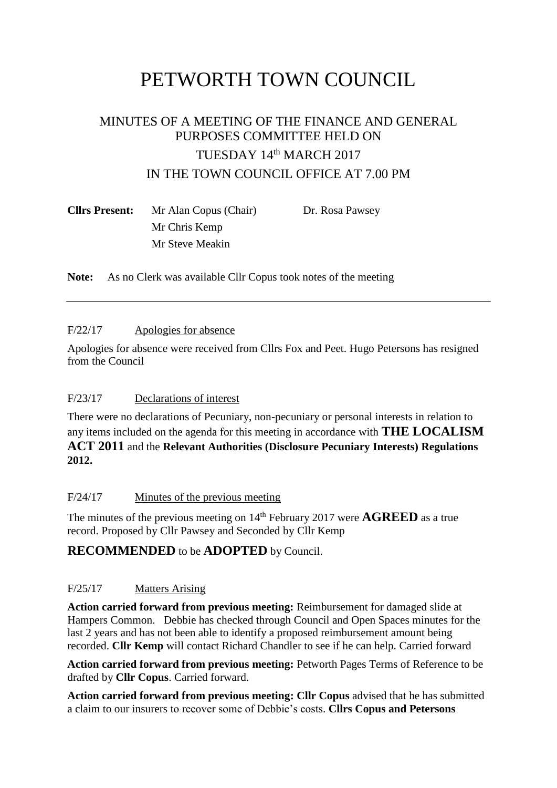# PETWORTH TOWN COUNCIL

# MINUTES OF A MEETING OF THE FINANCE AND GENERAL PURPOSES COMMITTEE HELD ON TUESDAY 14th MARCH 2017 IN THE TOWN COUNCIL OFFICE AT 7.00 PM

| <b>Cllrs Present:</b> | Mr Alan Copus (Chair) | Dr. Rosa Pawsey |
|-----------------------|-----------------------|-----------------|
|                       | Mr Chris Kemp         |                 |
|                       | Mr Steve Meakin       |                 |

**Note:** As no Clerk was available Cllr Copus took notes of the meeting

#### F/22/17 Apologies for absence

Apologies for absence were received from Cllrs Fox and Peet. Hugo Petersons has resigned from the Council

# F/23/17 Declarations of interest

There were no declarations of Pecuniary, non-pecuniary or personal interests in relation to any items included on the agenda for this meeting in accordance with **THE LOCALISM ACT 2011** and the **Relevant Authorities (Disclosure Pecuniary Interests) Regulations 2012.**

# F/24/17 Minutes of the previous meeting

The minutes of the previous meeting on  $14<sup>th</sup>$  February 2017 were **AGREED** as a true record. Proposed by Cllr Pawsey and Seconded by Cllr Kemp

# **RECOMMENDED** to be **ADOPTED** by Council.

# F/25/17 Matters Arising

**Action carried forward from previous meeting:** Reimbursement for damaged slide at Hampers Common. Debbie has checked through Council and Open Spaces minutes for the last 2 years and has not been able to identify a proposed reimbursement amount being recorded. **Cllr Kemp** will contact Richard Chandler to see if he can help. Carried forward

**Action carried forward from previous meeting:** Petworth Pages Terms of Reference to be drafted by **Cllr Copus**. Carried forward.

**Action carried forward from previous meeting: Cllr Copus** advised that he has submitted a claim to our insurers to recover some of Debbie's costs. **Cllrs Copus and Petersons**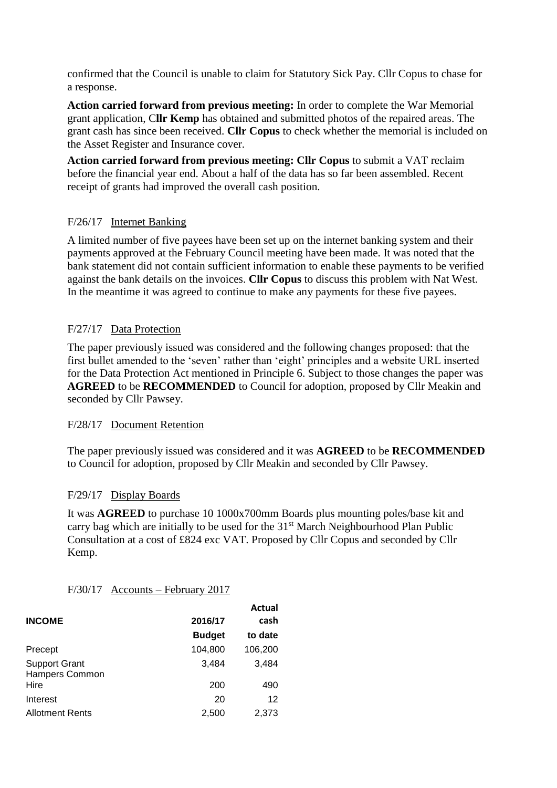confirmed that the Council is unable to claim for Statutory Sick Pay. Cllr Copus to chase for a response.

**Action carried forward from previous meeting:** In order to complete the War Memorial grant application, C**llr Kemp** has obtained and submitted photos of the repaired areas. The grant cash has since been received. **Cllr Copus** to check whether the memorial is included on the Asset Register and Insurance cover.

**Action carried forward from previous meeting: Cllr Copus** to submit a VAT reclaim before the financial year end. About a half of the data has so far been assembled. Recent receipt of grants had improved the overall cash position.

#### F/26/17 Internet Banking

A limited number of five payees have been set up on the internet banking system and their payments approved at the February Council meeting have been made. It was noted that the bank statement did not contain sufficient information to enable these payments to be verified against the bank details on the invoices. **Cllr Copus** to discuss this problem with Nat West. In the meantime it was agreed to continue to make any payments for these five payees.

#### F/27/17 Data Protection

The paper previously issued was considered and the following changes proposed: that the first bullet amended to the 'seven' rather than 'eight' principles and a website URL inserted for the Data Protection Act mentioned in Principle 6. Subject to those changes the paper was **AGREED** to be **RECOMMENDED** to Council for adoption, proposed by Cllr Meakin and seconded by Cllr Pawsey.

#### F/28/17 Document Retention

The paper previously issued was considered and it was **AGREED** to be **RECOMMENDED** to Council for adoption, proposed by Cllr Meakin and seconded by Cllr Pawsey.

# F/29/17 Display Boards

It was **AGREED** to purchase 10 1000x700mm Boards plus mounting poles/base kit and carry bag which are initially to be used for the 31<sup>st</sup> March Neighbourhood Plan Public Consultation at a cost of £824 exc VAT. Proposed by Cllr Copus and seconded by Cllr Kemp.

#### F/30/17 Accounts – February 2017

|                                        |               | Actual  |
|----------------------------------------|---------------|---------|
| <b>INCOME</b>                          | 2016/17       | cash    |
|                                        | <b>Budget</b> | to date |
| Precept                                | 104,800       | 106,200 |
| <b>Support Grant</b><br>Hampers Common | 3.484         | 3,484   |
| Hire                                   | 200           | 490     |
| Interest                               | 20            | 12      |
| <b>Allotment Rents</b>                 | 2,500         | 2,373   |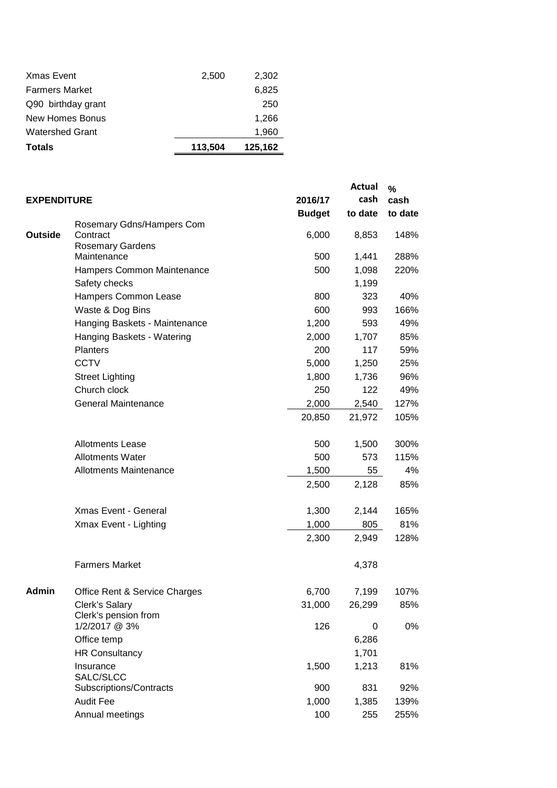| <b>Watershed Grant</b><br><b>Totals</b> | 113,504 | 1,960<br>125,162 |
|-----------------------------------------|---------|------------------|
|                                         |         |                  |
| New Homes Bonus                         |         | 1,266            |
| Q90 birthday grant                      |         | 250              |
| <b>Farmers Market</b>                   |         | 6,825            |
| <b>Xmas Event</b>                       | 2,500   | 2,302            |

| <b>EXPENDITURE</b> |                                               | 2016/17       | <b>Actual</b><br>cash | $\%$<br>cash |
|--------------------|-----------------------------------------------|---------------|-----------------------|--------------|
|                    |                                               | <b>Budget</b> | to date               | to date      |
| <b>Outside</b>     | Rosemary Gdns/Hampers Com<br>Contract         | 6,000         | 8,853                 | 148%         |
|                    | <b>Rosemary Gardens</b><br>Maintenance        | 500           | 1,441                 | 288%         |
|                    | Hampers Common Maintenance                    | 500           | 1,098                 | 220%         |
|                    | Safety checks                                 |               | 1,199                 |              |
|                    | Hampers Common Lease                          | 800           | 323                   | 40%          |
|                    | Waste & Dog Bins                              | 600           | 993                   | 166%         |
|                    | Hanging Baskets - Maintenance                 | 1,200         | 593                   | 49%          |
|                    |                                               | 2,000         | 1,707                 | 85%          |
|                    | Hanging Baskets - Watering<br><b>Planters</b> | 200           | 117                   | 59%          |
|                    | <b>CCTV</b>                                   | 5,000         |                       | 25%          |
|                    |                                               | 1,800         | 1,250                 | 96%          |
|                    | <b>Street Lighting</b><br>Church clock        | 250           | 1,736<br>122          | 49%          |
|                    | <b>General Maintenance</b>                    |               |                       |              |
|                    |                                               | 2,000         | 2,540                 | 127%         |
|                    |                                               | 20,850        | 21,972                | 105%         |
|                    | <b>Allotments Lease</b>                       | 500           | 1,500                 | 300%         |
|                    | <b>Allotments Water</b>                       | 500           | 573                   | 115%         |
|                    | <b>Allotments Maintenance</b>                 | 1,500         | 55                    | 4%           |
|                    |                                               | 2,500         | 2,128                 | 85%          |
|                    | Xmas Event - General                          | 1,300         | 2,144                 | 165%         |
|                    | Xmax Event - Lighting                         | 1,000         | 805                   | 81%          |
|                    |                                               | 2,300         | 2,949                 | 128%         |
|                    | <b>Farmers Market</b>                         |               | 4,378                 |              |
| <b>Admin</b>       | Office Rent & Service Charges                 | 6,700         | 7,199                 | 107%         |
|                    | Clerk's Salary<br>Clerk's pension from        | 31,000        | 26,299                | 85%          |
|                    | 1/2/2017 @ 3%                                 | 126           | 0                     | 0%           |
|                    | Office temp                                   |               | 6,286                 |              |
|                    | <b>HR Consultancy</b>                         |               | 1,701                 |              |
|                    | Insurance                                     | 1,500         | 1,213                 | 81%          |
|                    | SALC/SLCC                                     |               |                       |              |
|                    | Subscriptions/Contracts                       | 900           | 831                   | 92%          |
|                    | <b>Audit Fee</b>                              | 1,000         | 1,385                 | 139%         |
|                    | Annual meetings                               | 100           | 255                   | 255%         |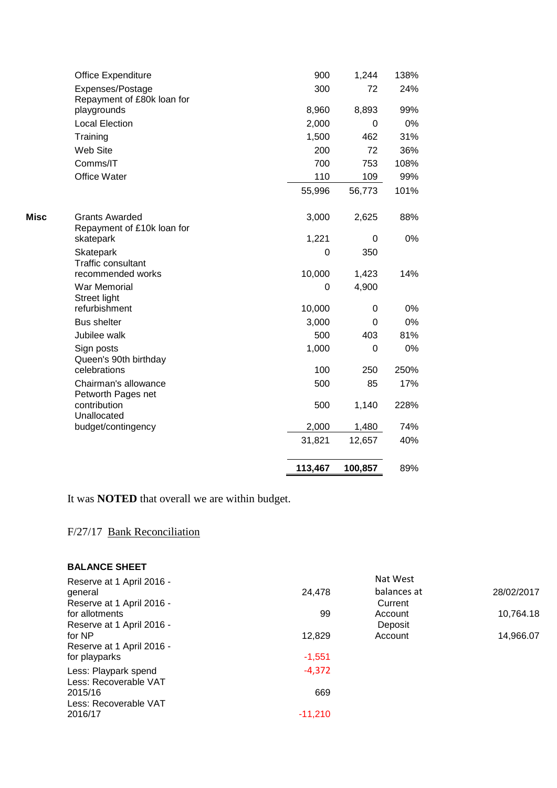|      |                                               | 113,467     | 100,857    | 89%   |
|------|-----------------------------------------------|-------------|------------|-------|
|      |                                               | 31,821      | 12,657     | 40%   |
|      | budget/contingency                            | 2,000       | 1,480      | 74%   |
|      | contribution<br>Unallocated                   | 500         | 1,140      | 228%  |
|      | Chairman's allowance<br>Petworth Pages net    | 500         | 85         | 17%   |
|      | Queen's 90th birthday<br>celebrations         | 100         | 250        | 250%  |
|      | Sign posts                                    | 1,000       | 0          | 0%    |
|      | Jubilee walk                                  | 500         | 403        | 81%   |
|      | <b>Bus shelter</b>                            | 3,000       | 0          | 0%    |
|      | War Memorial<br>Street light<br>refurbishment | 0<br>10,000 | 4,900<br>0 | $0\%$ |
|      | recommended works                             | 10,000      | 1,423      | 14%   |
|      | Skatepark<br><b>Traffic consultant</b>        | 0           | 350        |       |
|      | Repayment of £10k loan for<br>skatepark       | 1,221       | 0          | 0%    |
| Misc | <b>Grants Awarded</b>                         | 3,000       | 2,625      | 88%   |
|      |                                               | 55,996      | 56,773     | 101%  |
|      | <b>Office Water</b>                           | 110         | 109        | 99%   |
|      | Comms/IT                                      | 700         | 753        | 108%  |
|      | Web Site                                      | 200         | 72         | 36%   |
|      | Training                                      | 1,500       | 462        | 31%   |
|      | <b>Local Election</b>                         | 2,000       | $\Omega$   | 0%    |
|      | Repayment of £80k loan for<br>playgrounds     | 8,960       | 8,893      | 99%   |
|      | Expenses/Postage                              | 300         | 72         | 24%   |
|      | <b>Office Expenditure</b>                     | 900         | 1,244      | 138%  |

It was **NOTED** that overall we are within budget.

# F/27/17 Bank Reconciliation

#### **BALANCE SHEET**

|           | Nat West    |            |
|-----------|-------------|------------|
| 24,478    | balances at | 28/02/2017 |
|           | Current     |            |
| 99        | Account     | 10,764.18  |
|           | Deposit     |            |
| 12,829    | Account     | 14,966.07  |
|           |             |            |
| $-1,551$  |             |            |
| $-4,372$  |             |            |
|           |             |            |
| 669       |             |            |
|           |             |            |
| $-11.210$ |             |            |
|           |             |            |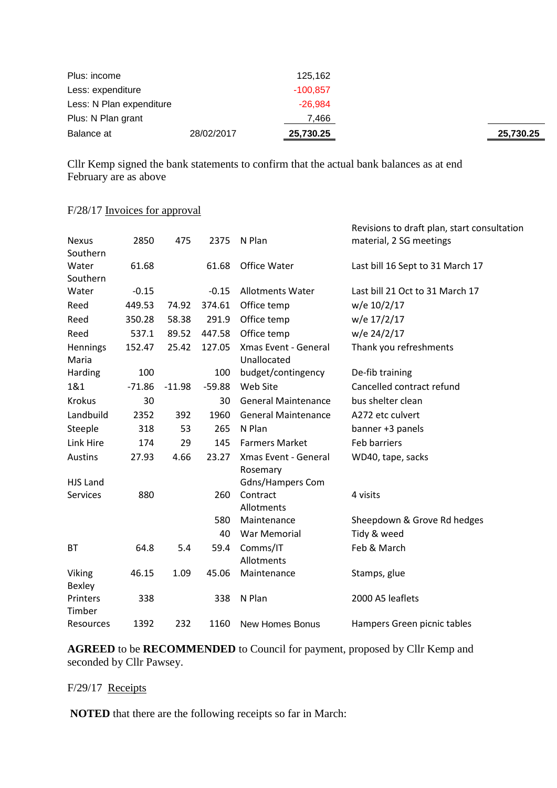| Balance at               | 28/02/2017 | 25,730.25  | 25,730.25 |
|--------------------------|------------|------------|-----------|
| Plus: N Plan grant       |            | 7.466      |           |
| Less: N Plan expenditure |            | $-26.984$  |           |
| Less: expenditure        |            | $-100.857$ |           |
| Plus: income             |            | 125,162    |           |

Cllr Kemp signed the bank statements to confirm that the actual bank balances as at end February are as above

### F/28/17 Invoices for approval

|                         |          |          |          |                            | Revisions to draft plan, start consultation |
|-------------------------|----------|----------|----------|----------------------------|---------------------------------------------|
| <b>Nexus</b>            | 2850     | 475      | 2375     | N Plan                     | material, 2 SG meetings                     |
| Southern<br>Water       | 61.68    |          | 61.68    | Office Water               |                                             |
| Southern                |          |          |          |                            | Last bill 16 Sept to 31 March 17            |
| Water                   | $-0.15$  |          | $-0.15$  | <b>Allotments Water</b>    | Last bill 21 Oct to 31 March 17             |
| Reed                    | 449.53   | 74.92    | 374.61   | Office temp                | w/e 10/2/17                                 |
| Reed                    | 350.28   | 58.38    | 291.9    | Office temp                | w/e 17/2/17                                 |
| Reed                    | 537.1    | 89.52    | 447.58   | Office temp                | w/e 24/2/17                                 |
| Hennings                | 152.47   | 25.42    | 127.05   | Xmas Event - General       | Thank you refreshments                      |
| Maria                   |          |          |          | Unallocated                |                                             |
| Harding                 | 100      |          | 100      | budget/contingency         | De-fib training                             |
| 1&1                     | $-71.86$ | $-11.98$ | $-59.88$ | Web Site                   | Cancelled contract refund                   |
| <b>Krokus</b>           | 30       |          | 30       | <b>General Maintenance</b> | bus shelter clean                           |
| Landbuild               | 2352     | 392      | 1960     | <b>General Maintenance</b> | A272 etc culvert                            |
| Steeple                 | 318      | 53       | 265      | N Plan                     | banner +3 panels                            |
| Link Hire               | 174      | 29       | 145      | <b>Farmers Market</b>      | Feb barriers                                |
| <b>Austins</b>          | 27.93    | 4.66     | 23.27    | Xmas Event - General       | WD40, tape, sacks                           |
|                         |          |          |          | Rosemary                   |                                             |
| <b>HJS Land</b>         |          |          |          | Gdns/Hampers Com           |                                             |
| <b>Services</b>         | 880      |          | 260      | Contract<br>Allotments     | 4 visits                                    |
|                         |          |          | 580      | Maintenance                | Sheepdown & Grove Rd hedges                 |
|                         |          |          | 40       | <b>War Memorial</b>        | Tidy & weed                                 |
| <b>BT</b>               | 64.8     | 5.4      | 59.4     | Comms/IT                   | Feb & March                                 |
|                         |          |          |          | Allotments                 |                                             |
| Viking<br><b>Bexley</b> | 46.15    | 1.09     | 45.06    | Maintenance                | Stamps, glue                                |
| Printers<br>Timber      | 338      |          | 338      | N Plan                     | 2000 A5 leaflets                            |
| Resources               | 1392     | 232      | 1160     | <b>New Homes Bonus</b>     | Hampers Green picnic tables                 |
|                         |          |          |          |                            |                                             |

**AGREED** to be **RECOMMENDED** to Council for payment, proposed by Cllr Kemp and seconded by Cllr Pawsey.

# F/29/17 Receipts

**NOTED** that there are the following receipts so far in March: